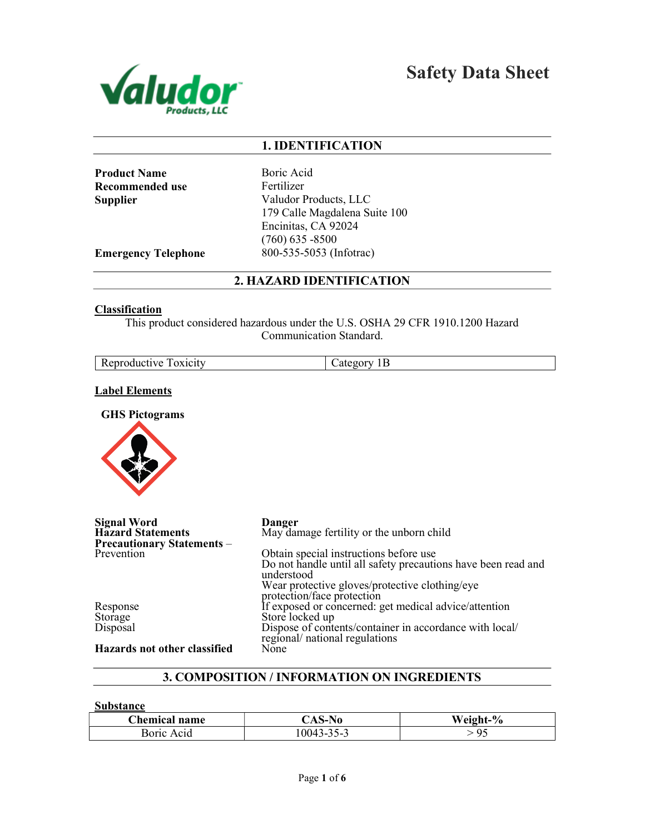

Safety Data Sheet

# 1. IDENTIFICATION

Product Name Boric Acid Recommended use Fertilizer

Supplier Valudor Products, LLC 179 Calle Magdalena Suite 100 Encinitas, CA 92024 (760) 635 -8500 Emergency Telephone 800-535-5053 (Infotrac)

2. HAZARD IDENTIFICATION

## **Classification**

This product considered hazardous under the U.S. OSHA 29 CFR 1910.1200 Hazard Communication Standard.

| D.                                                      |           |
|---------------------------------------------------------|-----------|
| eproductive<br>OX <sub>1</sub> C <sub>1</sub> tV<br>πι. | мΓ<br>1 L |

## Label Elements

GHS Pictograms



| <b>Signal Word</b>                | Danger                                                                                    |
|-----------------------------------|-------------------------------------------------------------------------------------------|
| <b>Hazard Statements</b>          | May damage fertility or the unborn child                                                  |
| <b>Precautionary Statements -</b> |                                                                                           |
| Prevention                        | Obtain special instructions before use                                                    |
|                                   | Do not handle until all safety precautions have been read and<br>understood               |
|                                   | Wear protective gloves/protective clothing/eye                                            |
|                                   | protection/face protection                                                                |
| Response                          | If exposed or concerned: get medical advice/attention                                     |
| Storage                           | Store locked up                                                                           |
| Disposal                          | Dispose of contents/container in accordance with local/<br>regional/ national regulations |
| Hazards not other classified      | None                                                                                      |

# 3. COMPOSITION / INFORMATION ON INGREDIENTS

Substance

| <b>Chemical name</b> | NO<br>AS- | Weight_%<br>70 |
|----------------------|-----------|----------------|
| Boric.<br>Acid       | 10043     |                |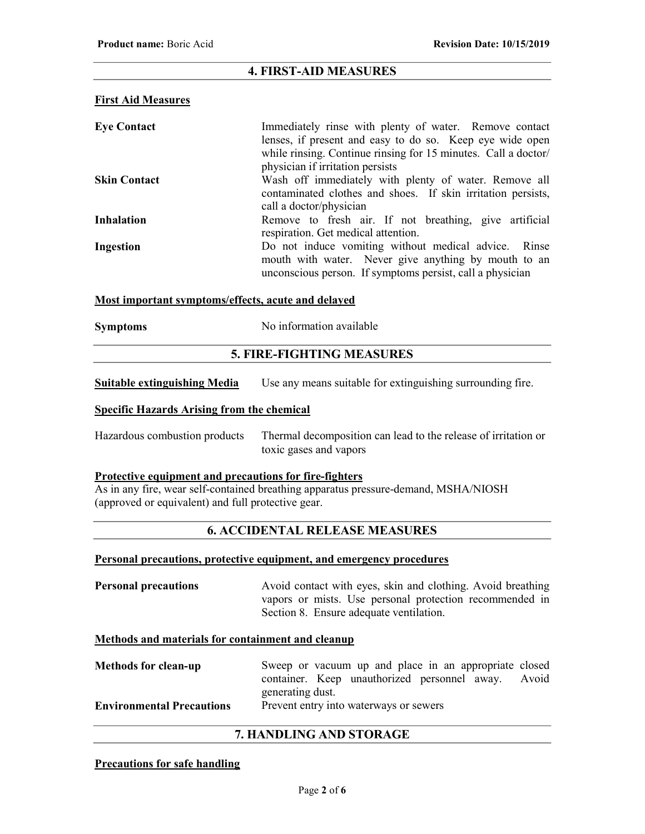# 4. FIRST-AID MEASURES

## First Aid Measures

| <b>Eye Contact</b>  | Immediately rinse with plenty of water. Remove contact<br>lenses, if present and easy to do so. Keep eye wide open<br>while rinsing. Continue rinsing for 15 minutes. Call a doctor/<br>physician if irritation persists |
|---------------------|--------------------------------------------------------------------------------------------------------------------------------------------------------------------------------------------------------------------------|
| <b>Skin Contact</b> | Wash off immediately with plenty of water. Remove all<br>contaminated clothes and shoes. If skin irritation persists,<br>call a doctor/physician                                                                         |
| <b>Inhalation</b>   | Remove to fresh air. If not breathing, give artificial<br>respiration. Get medical attention.                                                                                                                            |
| Ingestion           | Do not induce vomiting without medical advice. Rinse<br>mouth with water. Never give anything by mouth to an<br>unconscious person. If symptoms persist, call a physician                                                |

## Most important symptoms/effects, acute and delayed

| <b>Symptoms</b> | No information available |
|-----------------|--------------------------|
|-----------------|--------------------------|

# 5. FIRE-FIGHTING MEASURES

Suitable extinguishing Media Use any means suitable for extinguishing surrounding fire.

## Specific Hazards Arising from the chemical

Hazardous combustion products Thermal decomposition can lead to the release of irritation or toxic gases and vapors

## Protective equipment and precautions for fire-fighters

As in any fire, wear self-contained breathing apparatus pressure-demand, MSHA/NIOSH (approved or equivalent) and full protective gear.

# 6. ACCIDENTAL RELEASE MEASURES

#### Personal precautions, protective equipment, and emergency procedures

**Personal precautions** Avoid contact with eyes, skin and clothing. Avoid breathing vapors or mists. Use personal protection recommended in Section 8. Ensure adequate ventilation.

#### Methods and materials for containment and cleanup

| <b>Methods for clean-up</b>      | Sweep or vacuum up and place in an appropriate closed |  |
|----------------------------------|-------------------------------------------------------|--|
|                                  | container. Keep unauthorized personnel away. Avoid    |  |
|                                  | generating dust.                                      |  |
| <b>Environmental Precautions</b> | Prevent entry into waterways or sewers                |  |

## 7. HANDLING AND STORAGE

## Precautions for safe handling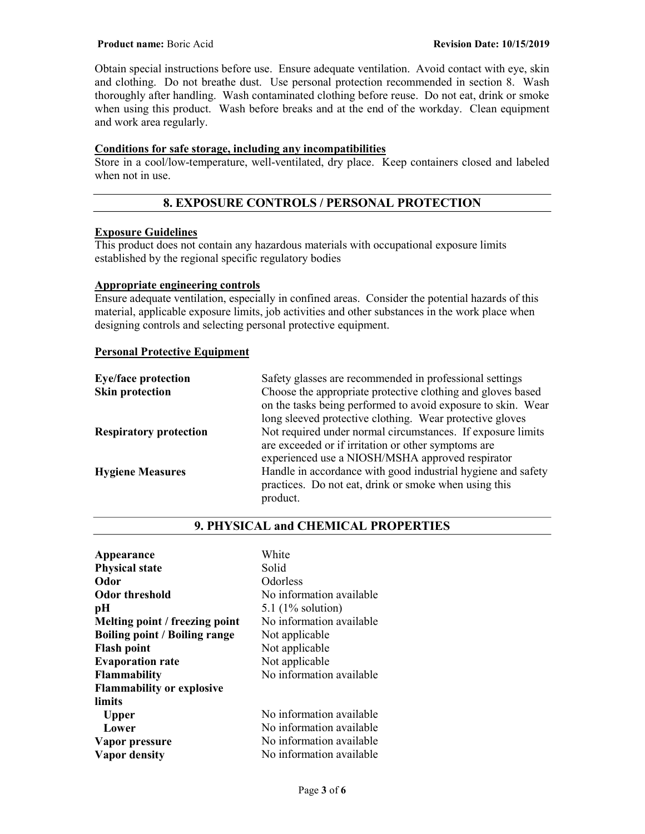Obtain special instructions before use. Ensure adequate ventilation. Avoid contact with eye, skin and clothing. Do not breathe dust. Use personal protection recommended in section 8. Wash thoroughly after handling. Wash contaminated clothing before reuse. Do not eat, drink or smoke when using this product. Wash before breaks and at the end of the workday. Clean equipment and work area regularly.

# Conditions for safe storage, including any incompatibilities

Store in a cool/low-temperature, well-ventilated, dry place. Keep containers closed and labeled when not in use.

# 8. EXPOSURE CONTROLS / PERSONAL PROTECTION

## Exposure Guidelines

This product does not contain any hazardous materials with occupational exposure limits established by the regional specific regulatory bodies

# Appropriate engineering controls

Ensure adequate ventilation, especially in confined areas. Consider the potential hazards of this material, applicable exposure limits, job activities and other substances in the work place when designing controls and selecting personal protective equipment.

## Personal Protective Equipment

| <b>Eye/face protection</b>    | Safety glasses are recommended in professional settings      |
|-------------------------------|--------------------------------------------------------------|
| <b>Skin protection</b>        | Choose the appropriate protective clothing and gloves based  |
|                               | on the tasks being performed to avoid exposure to skin. Wear |
|                               | long sleeved protective clothing. Wear protective gloves     |
| <b>Respiratory protection</b> | Not required under normal circumstances. If exposure limits  |
|                               | are exceeded or if irritation or other symptoms are          |
|                               | experienced use a NIOSH/MSHA approved respirator             |
| <b>Hygiene Measures</b>       | Handle in accordance with good industrial hygiene and safety |
|                               | practices. Do not eat, drink or smoke when using this        |
|                               | product.                                                     |
|                               |                                                              |

# 9. PHYSICAL and CHEMICAL PROPERTIES

| Appearance                           | White                    |
|--------------------------------------|--------------------------|
| <b>Physical state</b>                | Solid                    |
| Odor                                 | Odorless                 |
| <b>Odor threshold</b>                | No information available |
| pН                                   | 5.1 $(1\%$ solution)     |
| Melting point / freezing point       | No information available |
| <b>Boiling point / Boiling range</b> | Not applicable           |
| <b>Flash point</b>                   | Not applicable           |
| <b>Evaporation rate</b>              | Not applicable           |
| <b>Flammability</b>                  | No information available |
| <b>Flammability or explosive</b>     |                          |
| limits                               |                          |
| <b>Upper</b>                         | No information available |
| Lower                                | No information available |
| Vapor pressure                       | No information available |
| Vapor density                        | No information available |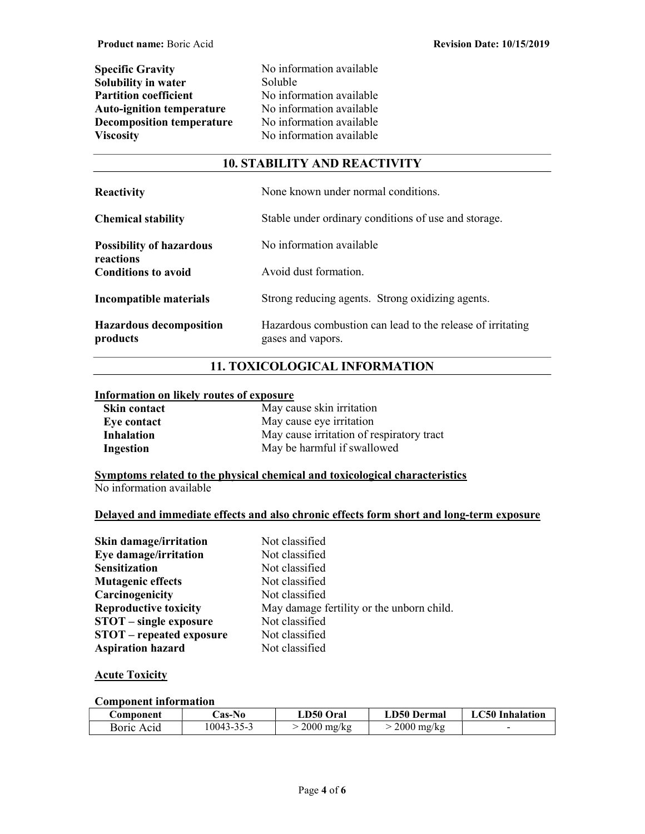| <b>Specific Gravity</b>          |  |
|----------------------------------|--|
| <b>Solubility in water</b>       |  |
| <b>Partition coefficient</b>     |  |
| <b>Auto-ignition temperature</b> |  |
| <b>Decomposition temperature</b> |  |
| <b>Viscosity</b>                 |  |

No information available Soluble No information available No information available No information available No information available

# 10. STABILITY AND REACTIVITY

| <b>Reactivity</b>                            | None known under normal conditions.                                             |
|----------------------------------------------|---------------------------------------------------------------------------------|
| <b>Chemical stability</b>                    | Stable under ordinary conditions of use and storage.                            |
| <b>Possibility of hazardous</b><br>reactions | No information available                                                        |
| <b>Conditions to avoid</b>                   | Avoid dust formation.                                                           |
| Incompatible materials                       | Strong reducing agents. Strong oxidizing agents.                                |
| <b>Hazardous decomposition</b><br>products   | Hazardous combustion can lead to the release of irritating<br>gases and vapors. |

# 11. TOXICOLOGICAL INFORMATION

## Information on likely routes of exposure

| <b>Skin contact</b> | May cause skin irritation                 |
|---------------------|-------------------------------------------|
| Eve contact         | May cause eye irritation                  |
| <b>Inhalation</b>   | May cause irritation of respiratory tract |
| Ingestion           | May be harmful if swallowed               |

Symptoms related to the physical chemical and toxicological characteristics No information available

## Delayed and immediate effects and also chronic effects form short and long-term exposure

| Skin damage/irritation          | Not classified                            |
|---------------------------------|-------------------------------------------|
| Eye damage/irritation           | Not classified                            |
| <b>Sensitization</b>            | Not classified                            |
| <b>Mutagenic effects</b>        | Not classified                            |
| Carcinogenicity                 | Not classified                            |
| <b>Reproductive toxicity</b>    | May damage fertility or the unborn child. |
| <b>STOT</b> – single exposure   | Not classified                            |
| <b>STOT</b> – repeated exposure | Not classified                            |
| <b>Aspiration hazard</b>        | Not classified                            |

# **Acute Toxicity**

## Component information

| Component  | <b>Cas-No</b> | LD50 Oral            | <b>LD50 Dermal</b>   | <b>LC50</b> Inhalation |
|------------|---------------|----------------------|----------------------|------------------------|
| Boric Acid | 10043-35-3    | $2000 \text{ mg/kg}$ | $2000 \text{ mg/kg}$ | -                      |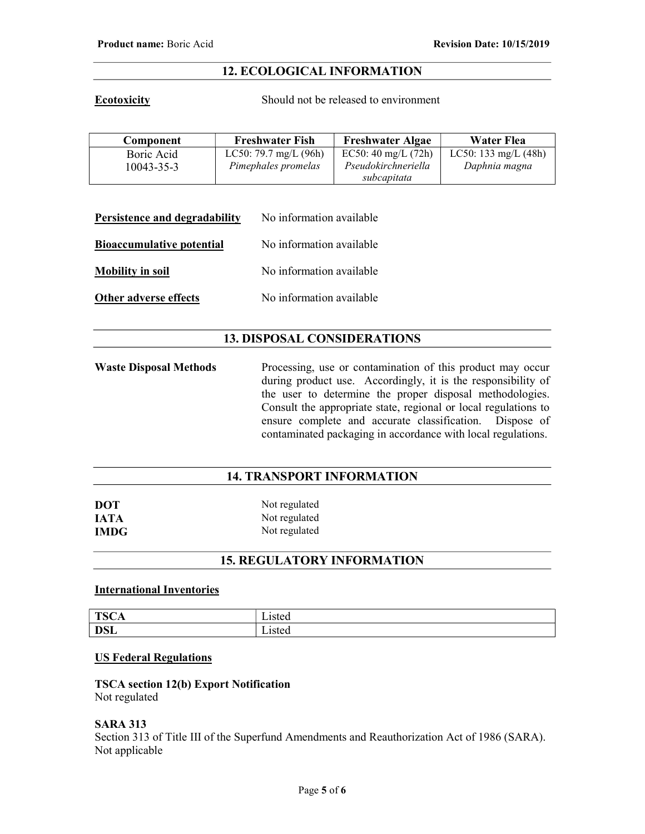# 12. ECOLOGICAL INFORMATION

Ecotoxicity Should not be released to environment

| Component        | <b>Freshwater Fish</b>  | <b>Freshwater Algae</b> | Water Flea             |
|------------------|-------------------------|-------------------------|------------------------|
| Boric Acid       | LC50: 79.7 mg/L $(96h)$ | EC50: 40 mg/L $(72h)$   | LC50: 133 mg/L $(48h)$ |
| $10043 - 35 - 3$ | Pimephales promelas     | Pseudokirchneriella     | Daphnia magna          |
|                  |                         | subcapitata             |                        |

| Persistence and degradability    | No information available |
|----------------------------------|--------------------------|
| <b>Bioaccumulative potential</b> | No information available |
| <b>Mobility in soil</b>          | No information available |
| Other adverse effects            | No information available |

# 13. DISPOSAL CONSIDERATIONS

Waste Disposal Methods Processing, use or contamination of this product may occur during product use. Accordingly, it is the responsibility of the user to determine the proper disposal methodologies. Consult the appropriate state, regional or local regulations to ensure complete and accurate classification. Dispose of contaminated packaging in accordance with local regulations.

# 14. TRANSPORT INFORMATION

| <b>DOT</b>  | Not regulated |  |
|-------------|---------------|--|
| <b>IATA</b> | Not regulated |  |
| <b>IMDG</b> | Not regulated |  |

# 15. REGULATORY INFORMATION

## International Inventories

| TCC<br>יי<br>$\sim$ | 15ted<br>∟ist∈u |
|---------------------|-----------------|
| net                 | <b>Listed</b>   |
| <b>D</b> OL         |                 |

# US Federal Regulations

TSCA section 12(b) Export Notification Not regulated

## SARA 313

Section 313 of Title III of the Superfund Amendments and Reauthorization Act of 1986 (SARA). Not applicable